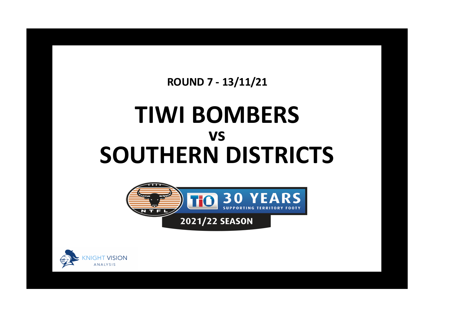**ROUND 7 - 13/11/21**

## **TIWI BOMBERS SOUTHERN DISTRICTS vs**



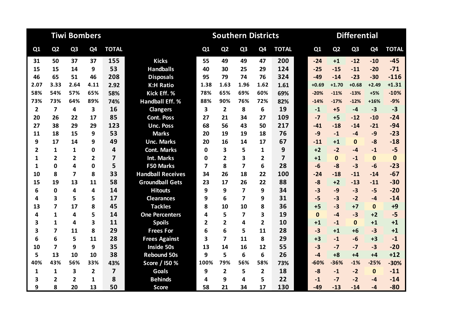|              |                         | <b>Tiwi Bombers</b> |                |                         |                          |                |                | <b>Southern Districts</b> |                |                | <b>Differential</b> |                |                |                |              |  |  |
|--------------|-------------------------|---------------------|----------------|-------------------------|--------------------------|----------------|----------------|---------------------------|----------------|----------------|---------------------|----------------|----------------|----------------|--------------|--|--|
| Q1           | Q <sub>2</sub>          | Q <sub>3</sub>      | Q4             | <b>TOTAL</b>            |                          | Q1             | Q <sub>2</sub> | Q <sub>3</sub>            | Q4             | <b>TOTAL</b>   | Q1                  | Q <sub>2</sub> | Q <sub>3</sub> | Q <sub>4</sub> | <b>TOTAL</b> |  |  |
| 31           | 50                      | 37                  | 37             | 155                     | <b>Kicks</b>             | 55             | 49             | 49                        | 47             | 200            | $-24$               | $+1$           | $-12$          | $-10$          | $-45$        |  |  |
| 15           | 15                      | 14                  | 9              | 53                      | <b>Handballs</b>         | 40             | 30             | 25                        | 29             | 124            | $-25$               | $-15$          | $-11$          | $-20$          | $-71$        |  |  |
| 46           | 65                      | 51                  | 46             | 208                     | <b>Disposals</b>         | 95             | 79             | 74                        | 76             | 324            | $-49$               | $-14$          | $-23$          | $-30$          | $-116$       |  |  |
| 2.07         | 3.33                    | 2.64                | 4.11           | 2.92                    | <b>K:H Ratio</b>         | 1.38           | 1.63           | 1.96                      | 1.62           | 1.61           | $+0.69$             | $+1.70$        | $+0.68$        | $+2.49$        | $+1.31$      |  |  |
| 58%          | 54%                     | 57%                 | 65%            | 58%                     | Kick Eff. %              | 78%            | 65%            | 69%                       | 60%            | 69%            | $-20%$              | $-11%$         | $-13%$         | $+5%$          | $-10%$       |  |  |
| 73%          | 73%                     | 64%                 | 89%            | 74%                     | <b>Handball Eff. %</b>   | 88%            | 90%            | 76%                       | 72%            | 82%            | $-14%$              | $-17%$         | $-12%$         | $+16%$         | $-9%$        |  |  |
| $\mathbf{2}$ | $\overline{ }$          | 4                   | 3              | 16                      | <b>Clangers</b>          | 3              | $\overline{2}$ | 8                         | 6              | 19             | $-1$                | $+5$           | $-4$           | $-3$           | $-3$         |  |  |
| 20           | 26                      | 22                  | 17             | 85                      | <b>Cont. Poss</b>        | 27             | 21             | 34                        | 27             | 109            | $-7$                | $+5$           | $-12$          | $-10$          | $-24$        |  |  |
| 27           | 38                      | 29                  | 29             | 123                     | <b>Unc. Poss</b>         | 68             | 56             | 43                        | 50             | 217            | $-41$               | $-18$          | $-14$          | $-21$          | $-94$        |  |  |
| 11           | 18                      | 15                  | 9              | 53                      | <b>Marks</b>             | 20             | 19             | 19                        | 18             | 76             | $-9$                | $-1$           | $-4$           | $-9$           | $-23$        |  |  |
| 9            | 17                      | 14                  | 9              | 49                      | <b>Unc. Marks</b>        | 20             | 16             | 14                        | 17             | 67             | $-11$               | $+1$           | $\Omega$       | $-8$           | $-18$        |  |  |
| 2            | $\mathbf{1}$            | 1                   | 0              | 4                       | <b>Cont. Marks</b>       | $\mathbf{0}$   | 3              | 5                         | 1              | 9              | $+2$                | $-2$           | $-4$           | $-1$           | $-5$         |  |  |
| 1            | $\overline{2}$          | $\overline{2}$      | $\overline{2}$ | $\overline{7}$          | Int. Marks               | $\Omega$       | $\overline{2}$ | 3                         | $\overline{2}$ | $\overline{7}$ | $+1$                | $\mathbf{0}$   | $-1$           | $\mathbf{0}$   | $\mathbf{0}$ |  |  |
| 1            | $\Omega$                | 4                   | $\Omega$       | 5                       | <b>F50 Marks</b>         | 7              | 8              | 7                         | 6              | 28             | $-6$                | $-8$           | $-3$           | $-6$           | $-23$        |  |  |
| 10           | 8                       | 7                   | 8              | 33                      | <b>Handball Receives</b> | 34             | 26             | 18                        | 22             | 100            | $-24$               | $-18$          | $-11$          | $-14$          | $-67$        |  |  |
| 15           | 19                      | 13                  | 11             | 58                      | <b>Groundball Gets</b>   | 23             | 17             | 26                        | 22             | 88             | $-8$                | $+2$           | $-13$          | $-11$          | $-30$        |  |  |
| 6            | $\mathbf{0}$            | 4                   | 4              | 14                      | <b>Hitouts</b>           | 9              | 9              | $\overline{7}$            | 9              | 34             | $-3$                | $-9$           | $-3$           | $-5$           | $-20$        |  |  |
| 4            | 3                       | 5                   | 5              | 17                      | <b>Clearances</b>        | 9              | 6              | 7                         | 9              | 31             | $-5$                | $-3$           | $-2$           | $-4$           | $-14$        |  |  |
| 13           | $\overline{7}$          | 17                  | 8              | 45                      | <b>Tackles</b>           | 8              | 10             | 10                        | 8              | 36             | $+5$                | $-3$           | $+7$           | $\mathbf{0}$   | $+9$         |  |  |
| 4            | $\mathbf{1}$            | 4                   | 5              | 14                      | <b>One Percenters</b>    | 4              | 5              | 7                         | 3              | 19             | $\mathbf{0}$        | $-4$           | $-3$           | $+2$           | $-5$         |  |  |
| 3            | $\mathbf{1}$            | 4                   | 3              | 11                      | <b>Spoils</b>            | $\overline{2}$ | $\overline{2}$ | 4                         | $\mathbf{2}$   | 10             | $+1$                | $-1$           | $\Omega$       | $+1$           | $+1$         |  |  |
| 3            | 7                       | 11                  | 8              | 29                      | <b>Frees For</b>         | 6              | 6              | 5                         | 11             | 28             | $-3$                | $+1$           | $+6$           | $-3$           | $+1$         |  |  |
| 6            | 6                       | 5                   | 11             | 28                      | <b>Frees Against</b>     | 3              | $\overline{7}$ | 11                        | 8              | 29             | $+3$                | $-1$           | $-6$           | $+3$           | $-1$         |  |  |
| 10           | $\overline{\mathbf{z}}$ | 9                   | 9              | 35                      | <b>Inside 50s</b>        | 13             | 14             | 16                        | 12             | 55             | $-3$                | $-7$           | $-7$           | $-3$           | $-20$        |  |  |
| 5            | 13                      | 10                  | 10             | 38                      | <b>Rebound 50s</b>       | 9              | 5              | 6                         | 6              | 26             | $-4$                | $+8$           | $+4$           | $+4$           | $+12$        |  |  |
| 40%          | 43%                     | 56%                 | 33%            | 43%                     | Score / I50 %            | 100%           | 79%            | 56%                       | 58%            | 73%            | $-60%$              | $-36%$         | $-1%$          | $-25%$         | $-30%$       |  |  |
| $\mathbf{1}$ | $\mathbf{1}$            | 3                   | $\overline{2}$ | $\overline{\mathbf{z}}$ | Goals                    | 9              | $\overline{2}$ | 5                         | $\overline{2}$ | 18             | $-8$                | $-1$           | $-2$           | $\mathbf 0$    | $-11$        |  |  |
| 3            | $\overline{2}$          | $\overline{2}$      | 1              | 8                       | <b>Behinds</b>           | 4              | 9              | 4                         | 5              | 22             | $-1$                | $-7$           | $-2$           | -4             | $-14$        |  |  |
| 9            | 8                       | 20                  | 13             | 50                      | <b>Score</b>             | 58             | 21             | 34                        | 17             | 130            | $-49$               | $-13$          | $-14$          | $-4$           | $-80$        |  |  |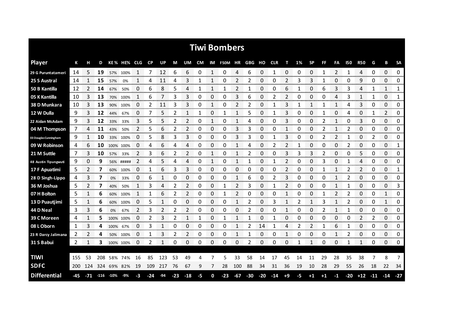|                       |                |                        |             |                    |           |                          |              |           |       |                      |               |                       | <b>Tiwi Bombers</b> |              |                 |              |            |          |    |             |                |                |                |                   |                    |                |              |
|-----------------------|----------------|------------------------|-------------|--------------------|-----------|--------------------------|--------------|-----------|-------|----------------------|---------------|-----------------------|---------------------|--------------|-----------------|--------------|------------|----------|----|-------------|----------------|----------------|----------------|-------------------|--------------------|----------------|--------------|
| <b>Player</b>         | К              | н                      | D           |                    | KE% HE%   | <b>CLG</b>               | $\mathsf{C}$ | <b>UP</b> | М     | UM                   | <b>CM</b>     | IM                    | F50M                | ΗR           | GBG             | но           | <b>CLR</b> | т        | 1% | <b>SP</b>   | FF             | FA             | <b>150</b>     | <b>R50</b>        | G                  | В              | <b>SA</b>    |
| 29 G Puruntatameri    | 14             | 5                      | 19          |                    | 57% 100%  | 1                        |              | 12        | 6     | 6                    | 0             | 1                     | 0                   | 4            | 6               | 0            | 1          | 0        | 0  | 0           | $\mathbf{1}$   | 2              | 1              | 4                 | 0                  | 0              | 0            |
| 25 S Austral          | 14             | 1                      | 15          | 57%                | 0%        | 1                        | 4            | 11        | 4     | 3                    |               | 1                     | 0                   | 2            | 2               | 0            | 0          | 2        | 3  | 3           |                | 0              | 0              | 9                 | 0                  | 0              | 0            |
| 50 B Kantilla         | 12             | 2                      | 14          | 67%                | 50%       | 0                        | 6            | 8         | 5     | 4                    | 1             | 1                     | 1                   | 2            | 1               | 0            | 0          | 6        | 1  | 0           | 6              | 3              | 3              | 4                 | 1                  | 1              | 1            |
| 05 K Kantilla         | 10             | 3                      | 13          | 70%                | 100%      | 1                        | 6            | 7         | 3     | 3                    | 0             | 0                     | 0                   | 3            | 6               | 0            | 2          | 2        | 0  | 0           | 0              | 4              | 3              | $\mathbf{1}$      | 1                  | 0              | 1            |
| 38 D Munkara          | -10            | 3                      | 13          | 90%                | 100%      | 0                        | 2            | 11        | 3     | 3                    | 0             | 1                     | 0                   | 2            | 2               | 0            | 1          | 3        | 1  | 1           | 1              | 1              | 4              | 3                 | 0                  | 0              | 0            |
| 12 W Dulla            | 9              | 3                      | 12          | 44%                | 67%       | $\Omega$                 | 7            | 5         | 2     |                      | 1             | 0                     | 1                   | 1            | 5               | $\Omega$     | 1          | 3        | 0  | 0           | 1              | 0              | 4              | 0                 | 1                  | $\overline{2}$ | 0            |
| 22 Aidan McAdam       | 9              | 3                      | 12          | 33%                | 33%       | 3                        | 5            | 5         | 2     | 2                    | 0             | 1                     | 0                   | 1            | 4               | 0            | 0          | 3        | 0  | 0           | 2              | 1              | 0              | 3                 | 0                  | 0              | 0            |
| 04 M Thompson         | 7              | 4                      | 11          | 43%                | 50%       | 2                        | 5            | 6         | 2     | $\overline{2}$       | 0             | 0                     | 0                   | 3            | 3               | 0            | 0          | 1        | 0  | 0           | $\overline{2}$ | 1              | $\overline{2}$ | 0                 | 0                  | $\Omega$       | 0            |
| 03 Douglas Cunningham | 9              | 1                      | 10          | 33%                | 100%      | 0                        | 5            | 8         | 3     | 3                    | 0             | 0                     | 0                   | 3            | 3               | 0            |            | 3        | 0  | 0           | 2              | 2              |                | 0                 | 2                  | 0              | 0            |
| 09 W Robinson         | 4              | 6                      | 10          | 100% 100%          |           | 0                        | 4            | 6         | 4     | 4                    | 0             | 0                     | 0                   | 1            | 4               | 0            | 2          | 2        |    | 0           | 0              | 0              | 2              | 0                 | 0                  | 0              | 1            |
| 21 M Suttle           | 7              | 3                      | 10          | 57%                | 33%       | 2                        | 3            | 6         | 2     | 2                    | 0             | 1                     | 0                   | 1            | 2               | 0            | 0          | 3        | 3  | 3           | 2              | 0              | 0              | 5                 | 0                  | 0              | 0            |
| 48 Austin Tipungwuti  | 9              | 0                      | 9           | 56%                | #####     | 2                        | 4            | 5         | 4     | 4                    | 0             | 1                     | 0                   | 1            | 1               | 0            | 1          | 2        | 0  | 0           | 3              | 0              | 1              | 4                 | 0                  | 0              | 0            |
| 17 F Apuatimi         | 5              | $\overline{2}$         | 7           |                    | 60% 100%  | 0                        | 1            | 6         | 3     | 3                    | 0             | $\Omega$              | 0                   | $\Omega$     | 0               | $\Omega$     | 0          | 2        | 0  | $\Omega$    | $\mathbf{1}$   | $\mathbf{1}$   | 2              | 2                 | 0                  | 0              | 1            |
| 28 D Singh-Lippo      | 4              | 3<br><b>CONTRACTOR</b> | 7           | 0%                 | 33%       | 0<br><u>mmmmmmmm</u>     | 6            | 1         | 0     | 0                    | 0             | 0                     | 0                   | 1            | 6               | 0            | 2          | 3        | 0  | 0           | 0              | $\mathbf{1}$   | 2              | 0                 | 0                  | 0<br>manan a   | 0<br>manan m |
| 36 M Joshua           | 5<br>anan masa | 2                      | 7           | 40%                | 50%       | 1                        | 3            | 4         | 2     | 2                    | 0             | 0                     | 1                   | 2<br>www.www | 3<br>ana ana an | 0            |            | anan ana | 0  | 0           | 0              | 1              |                | 0                 | 0                  | 0              | 3            |
| 07 H Bolton           | 5              | 1<br>anana.            | 6<br>onon o |                    | 60% 100%  | 1<br>------------------- | manana.      | 6         | 2     | 2<br><b>CONTRACT</b> | 0<br>ananan a | 0<br><b>CONTRACTO</b> | 1<br>mm             | 2<br>ana ar  | 0<br>n mener    | 0<br>mana ny | 0          |          | Ω  | 0<br>ana ar |                | <b>Service</b> |                | 0<br>onono.       | 0<br>anana amin'ny | 1<br>ananana.  | 0<br>ommune  |
| 13 D Puautjimi        | 5              | 1                      | 6           | 60%                | 100%      | 0                        | 5            | 1         | 0     | 0                    | 0             | 0                     | 0                   | 1            | 2               | 0            | 3          | 1        | 2  | 1           | 3              | 1              | 2              | 0                 | 0                  | 1              | 0            |
| 44 D Neal             | 3              | 3                      | 6           | 0%                 | 67%       | 2                        | 3            |           | 2     | 2                    | 0             | 0                     | 0                   | 0            | 2               | 0            | 0          | 1        | 0  | 0           | 2              | 1              |                | 0                 | 0                  | 0              | 0            |
| 39 C Moreen           | 4              | 1                      | 5           |                    | 100% 100% | 0                        | 2            | 3         | 2     | $\mathbf 1$          | 1             | $\mathbf 0$           | 1                   | 1            | 1               | 0            | 1          | 0        | 0  | 0           | 0              | 0              | 0              | $\overline{2}$    | $\overline{2}$     | 0              | 0            |
| 08 L Oborn            | 1              | 3                      | 4           | 100%               | 67%       | 0                        | 3            | 1         | 0     | 0                    | 0             | 0                     | 0                   | 1            | 2               | 14           | 1          | 4        | 2  | 2           | 1              | 6              | 1              | 0                 | 0                  | 0              | 0<br>monon   |
| 23 R Darcy Jalimana   | 2              | 2                      | 4           | 50%                | 100%      | 0                        | 1            | 3         | 2     | 2                    | 0             | 0                     | 0                   | 1            | 1               | 0            | 0          | 1        | 0  | 0           | 0              | 1              | 2              | 0                 | 0                  | 0              | 0            |
| 31 S Babui            | 2              | 1                      | 3           |                    | 100% 100% | 0                        | 2            | 1         | 0     | 0                    | 0             | 0                     | 0                   | 0            | 2               | 0            | 0          | 0        | 1  | 1           | 0              | 0              | 1              | 1                 | O                  | 0              | 0            |
|                       |                |                        |             |                    |           |                          |              |           |       |                      |               |                       |                     |              |                 |              |            |          |    |             |                |                |                |                   |                    |                |              |
| <b>TIWI</b>           | 155            | -53                    | 208         | 58% 74%            |           | 16                       | 85           | 123       | 53    | 49                   | 4             |                       | 5                   | 33           | 58              | 14           | 17         | 45       | 14 | 11          | 29             | 28             | 35             | 38                |                    | 8              | 7            |
| <b>SDFC</b>           | <b>200</b>     | 124                    |             | 324 69% 82%        |           | 19                       | 109          | 217       | 76    | 67                   | 9             |                       | 28                  | 100          | 88              | 34           | 31         | 36       | 19 | 10          | 28             | 29             | 55             | 26                | 18                 | 22             | 34           |
| <b>Differential</b>   | -45            |                        |             | $-71$ $116$ $10\%$ | $-9%$     | -3                       | $-24$        | -94       | $-23$ | $-18$                | -5            | 0                     | $-23$               | $-67$        | $-30$           | $-20$        | $-14$      | $+9$     | -5 | $+1$        | $+1$           | $-1$           |                | $-20$ $+12$ $-11$ |                    | $-14$          | $-27$        |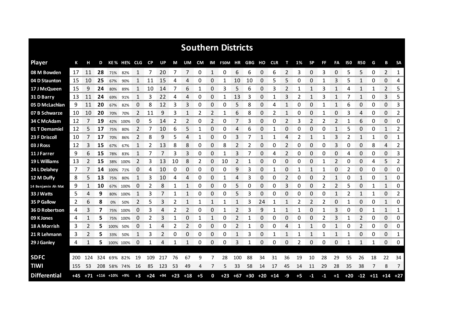|                      |     |     |     |                                   |          |      |           |           |    |             |      |   | <b>Southern Districts</b> |     |                       |    |    |      |      |           |               |      |     |            |    |                               |              |
|----------------------|-----|-----|-----|-----------------------------------|----------|------|-----------|-----------|----|-------------|------|---|---------------------------|-----|-----------------------|----|----|------|------|-----------|---------------|------|-----|------------|----|-------------------------------|--------------|
| <b>Player</b>        | К   |     | D   | KE% HE% CLG                       |          |      | <b>CP</b> | <b>UP</b> | М  | UM          |      |   | CM IM F50M HR GBG HO CLR  |     |                       |    |    | т    | 1%   | <b>SP</b> | FF            | FA   | 150 | <b>R50</b> | G  | В                             | <b>SA</b>    |
| 08 M Bowden          | 17  | 11  | 28  | 71%                               | 82%      |      |           | 20        | 7  | 7           | 0    | 1 | 0                         | 6   | 6                     | 0  | 6  | 2    | 3    | 0         | 3             | 0    | 5   | 5          | 0  | $\overline{2}$                | $\mathbf{1}$ |
| 04 D Staunton        | 15  | 10  | 25  | 67%                               | 90%      |      | 11        | 15        | 4  | 4           | 0    | 0 | 1                         | 10  | 10                    | 0  | 5  | 5    | 0    | 0         | 1             | 3    | 5   | 1          | 0  | 0                             | 4            |
| 17 J McQueen         | 15  | 9   | 24  | 80%                               | 89%      |      | 10        | 14        |    | 6           | 1    | 0 | 3                         | 5   | 6                     | 0  | 3  | 2    |      |           | 3             | 1    | 4   | 1          |    | 2                             | 5            |
| 31 D Barry           | 13  | 11  | 24  | 69%                               | 91%      | 1    | 3         | 22        | 4  | 4           | 0    | 0 | 1                         | 13  | 3                     | 0  | 1  | 3    | 2    |           | 3             | 1    |     | 1          | 0  | 3                             | 5            |
| 05 D McLachlan       | 9   | 11  | 20  | 67%                               | 82%      | 0    | 8         | 12        | 3  | 3           | 0    | 0 | 0                         | 5   | 8                     | 0  | 4  | 1    | 0    | 0         | 1             | 1    | 6   | 0          | 0  | 0                             | 3            |
| 07 B Schwarze        | 10  | 10  | 20  | 70%                               | 70%      | 2    | 11        | 9         | 3  | 1           | 2    | 2 | 1                         | 6   | 8                     | 0  | 2  | 1    | 0    | 0         | 1             | 0    | 3   | 4          | 0  | 0                             | 2            |
| 34 C McAdam          | 12  |     | 19  |                                   | 42% 100% | 0    | 5         | 14        | 2  | 2           | 0    | 2 | 0                         | 7   | 3                     | 0  | 0  | 2    | 3    | 2         | 2             | 2    |     | 6          | 0  | 0                             | 0            |
| 01 T Demamiel        | 12  | 5   | 17  | 75%                               | 80%      | 2    | 7         | 10        | 6  | 5           | 1    | 0 | 0                         | 4   | 6                     | 0  |    | 0    | 0    | 0         | 0             | 1    | 5   | 0          | 0  | 1                             | 2            |
| 23 F Driscoll        | 10  |     | 17  | 70%                               | 86%      | 2    | 8         | 9         | 5  | 4           | 1    | 0 | 0                         | 3   | 7                     | 1  |    | 4    | 2    | 1         | 1             | 3    | 2   | 1          | 1  | 0                             | 1            |
| 03 J Ross            | 12  | 3   | 15  | 67%                               | 67%      | 1    | 2         | 13        | 8  | 8           | 0    | 0 | 8                         | 2   | 2                     | 0  | 0  | 2    | 0    | 0         | 0             | 3    | 0   | 0          | 8  | 4                             | 2            |
| 11 J Farrer          | 9   | 6   | 15  | 78%                               | 83%      | 1    |           | 7         | 3  | 3           | 0    | 0 | 1                         | 3   | 7                     | 0  | 4  | 2    | 0    | 0         | 0             | 0    | 4   | 0          | 0  | 0                             | 3            |
| <b>19 L Williams</b> | 13  |     | 15  | 38%                               | 100%     | 2    | 3         | 13        | 10 | 8           | 2    | 0 | 10                        | 2   |                       | 0  | 0  | 0    | 0    | 0         |               | 2    | 0   | 0          | 4  | 5                             | 2            |
| 24 L Delahey         | 7   |     | 14  | 100% 71%                          |          | 0    | 4         | 10        | 0  | 0           | 0    | 0 | 0                         | 9   | 3                     | 0  |    | 0    |      | 1         | 1             | 0    | 2   | 0          | 0  | $\Omega$                      | 0            |
| 12 M Duffy           | 8   | 5   | 13  | 75%                               | 80%      | 1    | 3         | 10        | 4  | 4           | 0    | 0 | 1                         | 4   | 3                     | 0  | 0  | 2    | 0    | $\Omega$  | $\mathfrak z$ | 1    | 0   | 1          | 0  | 1                             | 0            |
| 14 Benjamin Ah Mat   | 9   |     | 10  |                                   | 67% 100% | 0    |           | 8         | 1  |             | 0    | 0 | 0                         | 5   | 0                     | 0  | 0  | 3    | 0    | 0         | 2             | 2    | 5   | 0          |    | 1                             | 0            |
| 33 J Watts           | 5.  | 4   | 9   | 80%                               | 100%     | 1    | 3         |           | 1  | 1           | 0    | 0 | 0                         | 5   | 3                     | 0  | 0  | 0    | 0    | 0         | 0             | 1    | 2   | 1          |    | 0                             | 2            |
| 35 P Gallow          | 2   | 6   | 8   | 0%                                | 50%      | 2    | 5         | 3         | 2  | 1           | 1    | 1 | 1                         | 1   | 3                     | 24 |    | 1    | 2    | 2         | 2             | 0    |     | 0          | 0  | 1                             | 0            |
| 36 D Robertson       | 4   | 3   | 7   | 75%                               | 100%     | 0    | 3         | Δ         | 2  | 2           | 0    | 0 |                           | 2   | 3                     | 9  |    | 1    |      | 0         |               | 3    | 0   | 0          |    | 1                             | 1            |
| 09 K Jones           | 4   | 1   | 5   | 75%                               | 100%     | 0    | 2         | 3         | 1  | 0           | 1    | 1 | 0                         | 2   |                       | 0  | 0  | 0    | 0    | 0         | 2             | 3    |     | 2          | 0  | 0                             | 0            |
| 18 A Morrish         | 3   | 2   | 5   | 100% 50%                          |          | 0    | 1         | 4         | 2  | 2           | 0    | 0 | 0                         | 2   | 1                     | 0  | 0  | 4    |      |           | 0             | 1    | 0   | 2          | 0  | 0                             | 0            |
| 21 R Lehmann         | 3   | 2   | 5   | 33%                               | 50%      | 1    | 3         | 2         | 0  | 0           | 0    | 0 | 0                         | 1   | 3                     | 0  | 1  | 1    |      | 1         | 1             | 1    |     | 0          | 0  | 0                             | 1            |
| 29 J Ganley          | 4   | 1   | 5.  | 100% 100%                         |          | 0    | 1         | 4         | 1  | 1           | 0    | 0 | 0                         | 3   | 1                     | 0  | 0  | 0    | 2    | 0         | 0             | 0    | 1   | 1          | 1  | 0                             | 0            |
|                      |     |     |     |                                   |          |      |           |           |    |             |      |   |                           |     |                       |    |    |      |      |           |               |      |     |            |    |                               |              |
| <b>SDFC</b>          | 200 | 124 | 324 | 69%                               | 82%      | 19   | 109       | 217       | 76 | 67          | 9    | 7 | 28                        | 100 | 88                    | 34 | 31 | 36   | 19   | 10        | 28            | 29   | 55  | 26         | 18 | 22                            | 34           |
| <b>TIWI</b>          | 155 | 53  |     | 208 58% 74%                       |          | 16   | 85        | 123       | 53 | 49          | 4    | 7 | 5                         | 33  | 58                    | 14 | 17 | 45   | 14   | 11        | 29            | 28   | 35  | 38         | 7  | 8                             | $7^{\circ}$  |
| <b>Differential</b>  |     |     |     | $+45$ $+71$ $+116$ $+10\%$ $+9\%$ |          | $+3$ | $+24$ +94 |           |    | $+23$ $+18$ | $+5$ | 0 |                           |     | $+23$ +67 +30 +20 +14 |    |    | $-9$ | $+5$ | $-1$      | $-1$          | $+1$ |     |            |    | $+20$ $-12$ $+11$ $+14$ $+27$ |              |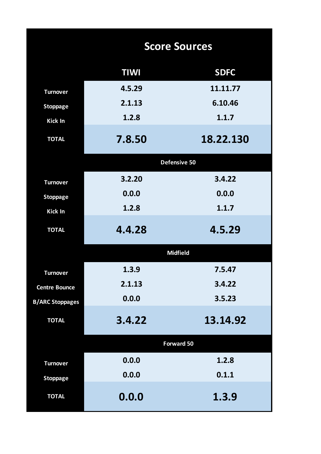|                        |             | <b>Score Sources</b> |
|------------------------|-------------|----------------------|
|                        | <b>TIWI</b> | <b>SDFC</b>          |
| <b>Turnover</b>        | 4.5.29      | 11.11.77             |
| <b>Stoppage</b>        | 2.1.13      | 6.10.46              |
| <b>Kick In</b>         | 1.2.8       | 1.1.7                |
| <b>TOTAL</b>           | 7.8.50      | 18.22.130            |
|                        |             | <b>Defensive 50</b>  |
| <b>Turnover</b>        | 3.2.20      | 3.4.22               |
| <b>Stoppage</b>        | 0.0.0       | 0.0.0                |
| <b>Kick In</b>         | 1.2.8       | 1.1.7                |
| <b>TOTAL</b>           | 4.4.28      | 4.5.29               |
|                        |             | <b>Midfield</b>      |
| <b>Turnover</b>        | 1.3.9       | 7.5.47               |
| <b>Centre Bounce</b>   | 2.1.13      | 3.4.22               |
| <b>B/ARC Stoppages</b> | 0.0.0       | 3.5.23               |
| <b>TOTAL</b>           | 3.4.22      | 13.14.92             |
|                        |             | <b>Forward 50</b>    |
| <b>Turnover</b>        | 0.0.0       | 1.2.8                |
| <b>Stoppage</b>        | 0.0.0       | 0.1.1                |
| <b>TOTAL</b>           | 0.0.0       | 1.3.9                |